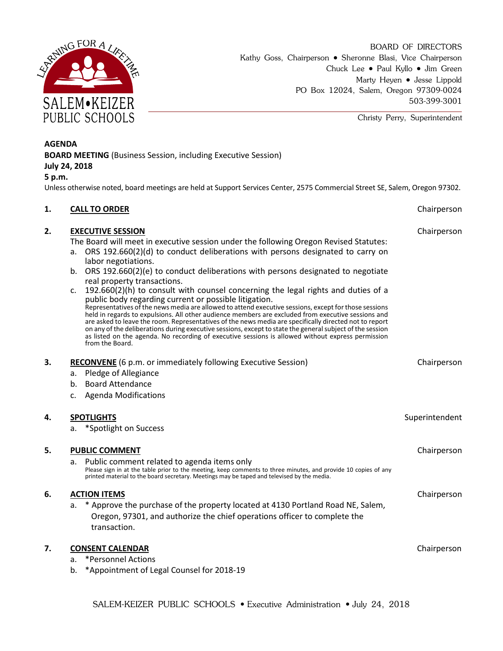

BOARD OF DIRECTORS Kathy Goss, Chairperson • Sheronne Blasi, Vice Chairperson Chuck Lee • Paul Kyllo • Jim Green Marty Heyen • Jesse Lippold PO Box 12024, Salem, Oregon 97309-0024 503-399-3001

Christy Perry, Superintendent

#### **AGENDA**

**BOARD MEETING** (Business Session, including Executive Session)

#### **July 24, 2018**

#### **5 p.m.**

Unless otherwise noted, board meetings are held at Support Services Center, 2575 Commercial Street SE, Salem, Oregon 97302.

# **1. CALL TO ORDER CALL TO ORDER CHAIRPER CHAIRPERSON 2. EXECUTIVE SESSION Chairperson** The Board will meet in executive session under the following Oregon Revised Statutes: a. ORS 192.660(2)(d) to conduct deliberations with persons designated to carry on labor negotiations. b. ORS 192.660(2)(e) to conduct deliberations with persons designated to negotiate real property transactions. c. 192.660(2)(h) to consult with counsel concerning the legal rights and duties of a public body regarding current or possible litigation. Representatives of the news media are allowed to attend executive sessions, except for those sessions held in regards to expulsions. All other audience members are excluded from executive sessions and are asked to leave the room. Representatives of the news media are specifically directed not to report on any of the deliberations during executive sessions, except to state the general subject of the session as listed on the agenda. No recording of executive sessions is allowed without express permission from the Board. **3. <b>RECONVENE** (6 p.m. or immediately following Executive Session) Chairperson Chairperson a. Pledge of Allegiance b. Board Attendance c. Agenda Modifications **4. SPOTLIGHTS** Superintendent a. \*Spotlight on Success **5. PUBLIC COMMENT COMMENT COMMENT Chairperson** a. Public comment related to agenda items only Please sign in at the table prior to the meeting, keep comments to three minutes, and provide 10 copies of any printed material to the board secretary. Meetings may be taped and televised by the media. **6. ACTION ITEMS** Chairperson a. \* Approve the purchase of the property located at 4130 Portland Road NE, Salem, Oregon, 97301, and authorize the chief operations officer to complete the transaction. **7. CONSENT CALENDAR CONSENT CALENDAR CHAIRPERSON** a. \*Personnel Actions

b. \*Appointment of Legal Counsel for 2018-19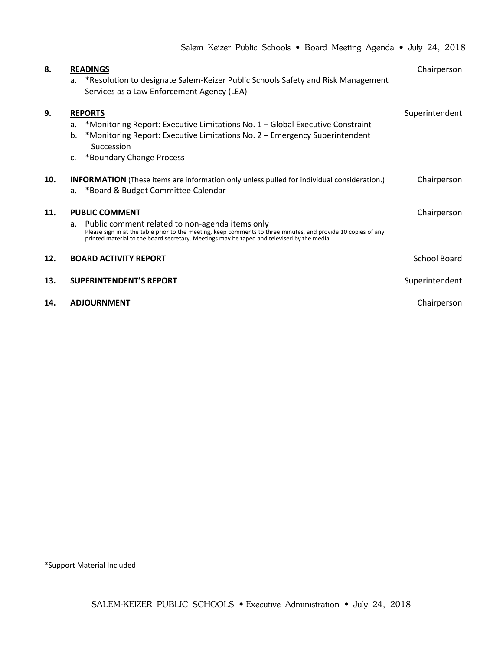|     | Salem Keizer Public Schools • Board Meeting Agenda • July 24, 2018                                                                                                                                                                                                                          |                |
|-----|---------------------------------------------------------------------------------------------------------------------------------------------------------------------------------------------------------------------------------------------------------------------------------------------|----------------|
| 8.  | <b>READINGS</b><br>*Resolution to designate Salem-Keizer Public Schools Safety and Risk Management<br>a.<br>Services as a Law Enforcement Agency (LEA)                                                                                                                                      | Chairperson    |
| 9.  | <b>REPORTS</b><br>*Monitoring Report: Executive Limitations No. 1 – Global Executive Constraint<br>a.<br>*Monitoring Report: Executive Limitations No. 2 – Emergency Superintendent<br>b.<br>Succession<br>*Boundary Change Process<br>$\mathsf{C}$ .                                       | Superintendent |
| 10. | <b>INFORMATION</b> (These items are information only unless pulled for individual consideration.)<br>*Board & Budget Committee Calendar<br>a.                                                                                                                                               | Chairperson    |
| 11. | <b>PUBLIC COMMENT</b><br>a. Public comment related to non-agenda items only<br>Please sign in at the table prior to the meeting, keep comments to three minutes, and provide 10 copies of any<br>printed material to the board secretary. Meetings may be taped and televised by the media. | Chairperson    |
| 12. | <b>BOARD ACTIVITY REPORT</b>                                                                                                                                                                                                                                                                | School Board   |
| 13. | <b>SUPERINTENDENT'S REPORT</b>                                                                                                                                                                                                                                                              | Superintendent |
| 14. | <b>ADJOURNMENT</b>                                                                                                                                                                                                                                                                          | Chairperson    |

\*Support Material Included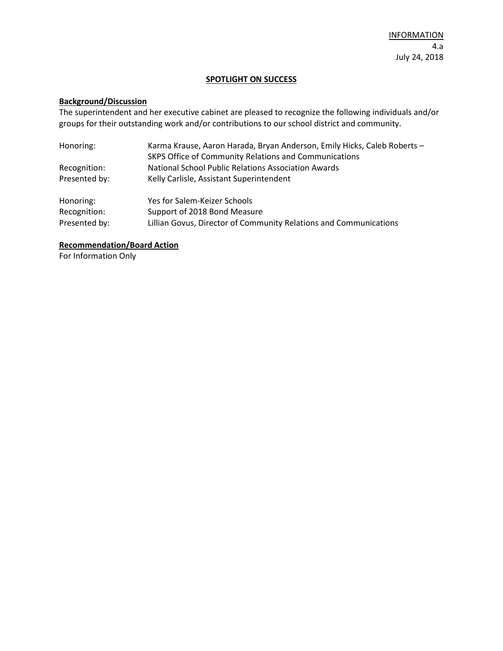### **SPOTLIGHT ON SUCCESS**

# **Background/Discussion**

The superintendent and her executive cabinet are pleased to recognize the following individuals and/or groups for their outstanding work and/or contributions to our school district and community.

| Honoring:     | Karma Krause, Aaron Harada, Bryan Anderson, Emily Hicks, Caleb Roberts - |
|---------------|--------------------------------------------------------------------------|
|               | SKPS Office of Community Relations and Communications                    |
| Recognition:  | National School Public Relations Association Awards                      |
| Presented by: | Kelly Carlisle, Assistant Superintendent                                 |
| Honoring:     | Yes for Salem-Keizer Schools                                             |
| Recognition:  | Support of 2018 Bond Measure                                             |
| Presented by: | Lillian Govus, Director of Community Relations and Communications        |

## **Recommendation/Board Action**

For Information Only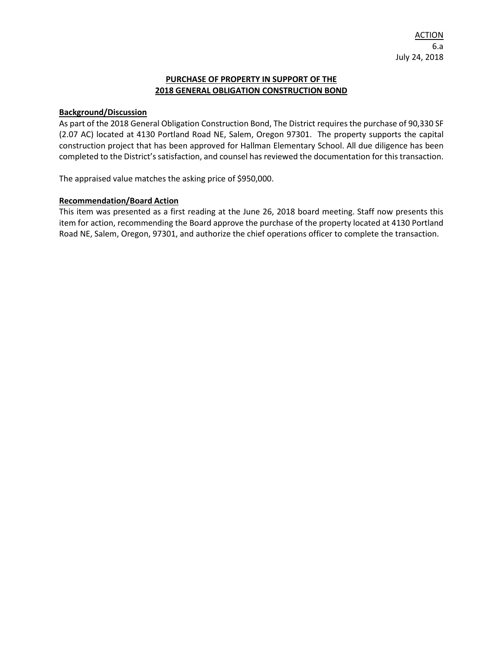#### **PURCHASE OF PROPERTY IN SUPPORT OF THE 2018 GENERAL OBLIGATION CONSTRUCTION BOND**

#### **Background/Discussion**

As part of the 2018 General Obligation Construction Bond, The District requires the purchase of 90,330 SF (2.07 AC) located at 4130 Portland Road NE, Salem, Oregon 97301. The property supports the capital construction project that has been approved for Hallman Elementary School. All due diligence has been completed to the District's satisfaction, and counsel has reviewed the documentation for this transaction.

The appraised value matches the asking price of \$950,000.

#### **Recommendation/Board Action**

This item was presented as a first reading at the June 26, 2018 board meeting. Staff now presents this item for action, recommending the Board approve the purchase of the property located at 4130 Portland Road NE, Salem, Oregon, 97301, and authorize the chief operations officer to complete the transaction.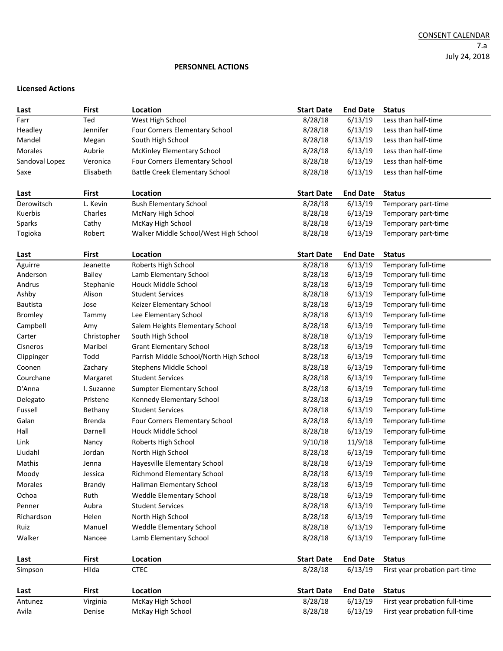#### CONSENT CALENDAR 7.a July 24, 2018

#### **PERSONNEL ACTIONS**

#### **Licensed Actions**

| Last           | <b>First</b> | Location                                | <b>Start Date</b> | <b>End Date</b> | <b>Status</b>                  |
|----------------|--------------|-----------------------------------------|-------------------|-----------------|--------------------------------|
| Farr           | Ted          | West High School                        | 8/28/18           | 6/13/19         | Less than half-time            |
| Headley        | Jennifer     | Four Corners Elementary School          | 8/28/18           | 6/13/19         | Less than half-time            |
| Mandel         | Megan        | South High School                       | 8/28/18           | 6/13/19         | Less than half-time            |
| Morales        | Aubrie       | <b>McKinley Elementary School</b>       | 8/28/18           | 6/13/19         | Less than half-time            |
| Sandoval Lopez | Veronica     | Four Corners Elementary School          | 8/28/18           | 6/13/19         | Less than half-time            |
| Saxe           | Elisabeth    | <b>Battle Creek Elementary School</b>   | 8/28/18           | 6/13/19         | Less than half-time            |
|                |              |                                         |                   |                 |                                |
| Last           | <b>First</b> | Location                                | <b>Start Date</b> | <b>End Date</b> | <b>Status</b>                  |
| Derowitsch     | L. Kevin     | <b>Bush Elementary School</b>           | 8/28/18           | 6/13/19         | Temporary part-time            |
| Kuerbis        | Charles      | McNary High School                      | 8/28/18           | 6/13/19         | Temporary part-time            |
| Sparks         | Cathy        | McKay High School                       | 8/28/18           | 6/13/19         | Temporary part-time            |
| Togioka        | Robert       | Walker Middle School/West High School   | 8/28/18           | 6/13/19         | Temporary part-time            |
|                |              |                                         |                   |                 |                                |
| Last           | <b>First</b> | Location                                | <b>Start Date</b> | <b>End Date</b> | <b>Status</b>                  |
| Aguirre        | Jeanette     | Roberts High School                     | 8/28/18           | 6/13/19         | Temporary full-time            |
| Anderson       | Bailey       | Lamb Elementary School                  | 8/28/18           | 6/13/19         | Temporary full-time            |
| Andrus         | Stephanie    | Houck Middle School                     | 8/28/18           | 6/13/19         | Temporary full-time            |
| Ashby          | Alison       | <b>Student Services</b>                 | 8/28/18           | 6/13/19         | Temporary full-time            |
| Bautista       | Jose         | Keizer Elementary School                | 8/28/18           | 6/13/19         | Temporary full-time            |
| <b>Bromley</b> | Tammy        | Lee Elementary School                   | 8/28/18           | 6/13/19         | Temporary full-time            |
| Campbell       | Amy          | Salem Heights Elementary School         | 8/28/18           | 6/13/19         | Temporary full-time            |
| Carter         | Christopher  | South High School                       | 8/28/18           | 6/13/19         | Temporary full-time            |
| Cisneros       | Maribel      | <b>Grant Elementary School</b>          | 8/28/18           | 6/13/19         | Temporary full-time            |
| Clippinger     | Todd         | Parrish Middle School/North High School | 8/28/18           | 6/13/19         | Temporary full-time            |
| Coonen         | Zachary      | Stephens Middle School                  | 8/28/18           | 6/13/19         | Temporary full-time            |
| Courchane      | Margaret     | <b>Student Services</b>                 | 8/28/18           | 6/13/19         | Temporary full-time            |
| D'Anna         | I. Suzanne   | Sumpter Elementary School               | 8/28/18           | 6/13/19         | Temporary full-time            |
| Delegato       | Pristene     | Kennedy Elementary School               | 8/28/18           | 6/13/19         | Temporary full-time            |
| Fussell        | Bethany      | <b>Student Services</b>                 | 8/28/18           | 6/13/19         | Temporary full-time            |
| Galan          | Brenda       | Four Corners Elementary School          | 8/28/18           | 6/13/19         | Temporary full-time            |
| Hall           | Darnell      | Houck Middle School                     | 8/28/18           | 6/13/19         | Temporary full-time            |
| Link           | Nancy        | Roberts High School                     | 9/10/18           | 11/9/18         | Temporary full-time            |
| Liudahl        | Jordan       | North High School                       | 8/28/18           | 6/13/19         | Temporary full-time            |
| Mathis         | Jenna        | Hayesville Elementary School            | 8/28/18           | 6/13/19         | Temporary full-time            |
| Moody          | Jessica      | <b>Richmond Elementary School</b>       | 8/28/18           | 6/13/19         | Temporary full-time            |
| Morales        | Brandy       | Hallman Elementary School               | 8/28/18           | 6/13/19         | Temporary full-time            |
| Ochoa          | Ruth         | Weddle Elementary School                | 8/28/18           | 6/13/19         | Temporary full-time            |
| Penner         | Aubra        | <b>Student Services</b>                 | 8/28/18           | 6/13/19         | Temporary full-time            |
| Richardson     | Helen        | North High School                       | 8/28/18           | 6/13/19         | Temporary full-time            |
| Ruiz           | Manuel       | Weddle Elementary School                | 8/28/18           | 6/13/19         | Temporary full-time            |
| Walker         | Nancee       | Lamb Elementary School                  | 8/28/18           | 6/13/19         | Temporary full-time            |
|                |              |                                         |                   |                 |                                |
| Last           | <b>First</b> | Location                                | <b>Start Date</b> | <b>End Date</b> | <b>Status</b>                  |
| Simpson        | Hilda        | <b>CTEC</b>                             | 8/28/18           | 6/13/19         | First year probation part-time |
|                |              |                                         |                   |                 |                                |
| Last           | <b>First</b> | <b>Location</b>                         | <b>Start Date</b> | <b>End Date</b> | <b>Status</b>                  |
| Antunez        | Virginia     | McKay High School                       | 8/28/18           | 6/13/19         | First year probation full-time |
| Avila          | Denise       | McKay High School                       | 8/28/18           | 6/13/19         | First year probation full-time |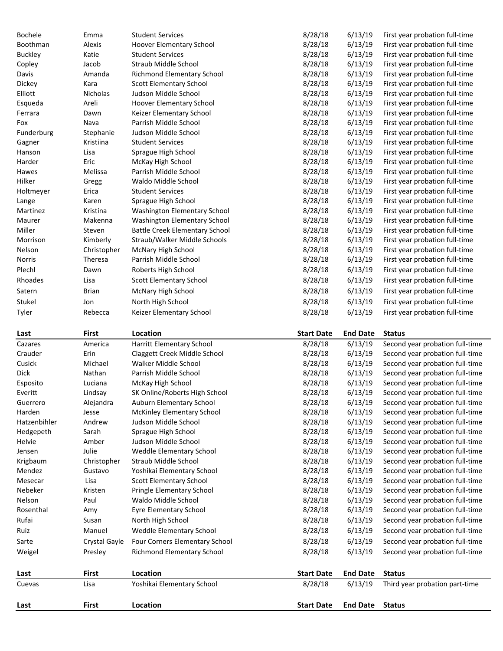| Bochele        | Emma          | <b>Student Services</b>               | 8/28/18           | 6/13/19         | First year probation full-time  |
|----------------|---------------|---------------------------------------|-------------------|-----------------|---------------------------------|
| Boothman       | Alexis        | Hoover Elementary School              | 8/28/18           | 6/13/19         | First year probation full-time  |
| <b>Buckley</b> | Katie         | <b>Student Services</b>               | 8/28/18           | 6/13/19         | First year probation full-time  |
| Copley         | Jacob         | Straub Middle School                  | 8/28/18           | 6/13/19         | First year probation full-time  |
| Davis          | Amanda        | <b>Richmond Elementary School</b>     | 8/28/18           | 6/13/19         | First year probation full-time  |
| Dickey         | Kara          | <b>Scott Elementary School</b>        | 8/28/18           | 6/13/19         | First year probation full-time  |
| Elliott        | Nicholas      | Judson Middle School                  | 8/28/18           | 6/13/19         | First year probation full-time  |
| Esqueda        | Areli         | Hoover Elementary School              | 8/28/18           | 6/13/19         | First year probation full-time  |
| Ferrara        | Dawn          | Keizer Elementary School              | 8/28/18           | 6/13/19         | First year probation full-time  |
| Fox            | Nava          | Parrish Middle School                 | 8/28/18           | 6/13/19         | First year probation full-time  |
| Funderburg     | Stephanie     | Judson Middle School                  | 8/28/18           | 6/13/19         | First year probation full-time  |
| Gagner         | Kristiina     | <b>Student Services</b>               | 8/28/18           | 6/13/19         | First year probation full-time  |
| Hanson         | Lisa          | Sprague High School                   | 8/28/18           | 6/13/19         | First year probation full-time  |
| Harder         | Eric          | McKay High School                     | 8/28/18           | 6/13/19         | First year probation full-time  |
| Hawes          | Melissa       | Parrish Middle School                 | 8/28/18           | 6/13/19         | First year probation full-time  |
| Hilker         | Gregg         | Waldo Middle School                   | 8/28/18           | 6/13/19         | First year probation full-time  |
| Holtmeyer      | Erica         | <b>Student Services</b>               | 8/28/18           | 6/13/19         | First year probation full-time  |
| Lange          | Karen         | Sprague High School                   | 8/28/18           | 6/13/19         | First year probation full-time  |
| Martinez       | Kristina      | Washington Elementary School          | 8/28/18           | 6/13/19         | First year probation full-time  |
| Maurer         | Makenna       | Washington Elementary School          | 8/28/18           | 6/13/19         | First year probation full-time  |
| Miller         | Steven        | <b>Battle Creek Elementary School</b> | 8/28/18           | 6/13/19         | First year probation full-time  |
| Morrison       | Kimberly      | Straub/Walker Middle Schools          | 8/28/18           | 6/13/19         | First year probation full-time  |
| Nelson         | Christopher   | McNary High School                    | 8/28/18           | 6/13/19         | First year probation full-time  |
| <b>Norris</b>  | Theresa       | Parrish Middle School                 | 8/28/18           | 6/13/19         | First year probation full-time  |
| Plechl         | Dawn          | Roberts High School                   | 8/28/18           | 6/13/19         | First year probation full-time  |
| Rhoades        | Lisa          | <b>Scott Elementary School</b>        | 8/28/18           | 6/13/19         | First year probation full-time  |
| Satern         | <b>Brian</b>  | McNary High School                    | 8/28/18           | 6/13/19         | First year probation full-time  |
| Stukel         | Jon           | North High School                     | 8/28/18           | 6/13/19         | First year probation full-time  |
| Tyler          | Rebecca       | Keizer Elementary School              | 8/28/18           | 6/13/19         | First year probation full-time  |
|                |               |                                       |                   |                 |                                 |
|                |               |                                       |                   |                 |                                 |
| Last           | <b>First</b>  | Location                              | <b>Start Date</b> | <b>End Date</b> | <b>Status</b>                   |
| Cazares        | America       | Harritt Elementary School             | 8/28/18           | 6/13/19         | Second year probation full-time |
| Crauder        | Erin          | Claggett Creek Middle School          | 8/28/18           | 6/13/19         | Second year probation full-time |
| Cusick         | Michael       | Walker Middle School                  | 8/28/18           | 6/13/19         | Second year probation full-time |
| Dick           | Nathan        | Parrish Middle School                 | 8/28/18           | 6/13/19         | Second year probation full-time |
| Esposito       | Luciana       | McKay High School                     | 8/28/18           | 6/13/19         | Second year probation full-time |
| Everitt        | Lindsay       | SK Online/Roberts High School         | 8/28/18           | 6/13/19         | Second year probation full-time |
| Guerrero       | Alejandra     | Auburn Elementary School              | 8/28/18           | 6/13/19         | Second year probation full-time |
| Harden         | Jesse         | <b>McKinley Elementary School</b>     | 8/28/18           | 6/13/19         | Second year probation full-time |
| Hatzenbihler   | Andrew        | Judson Middle School                  | 8/28/18           | 6/13/19         | Second year probation full-time |
| Hedgepeth      | Sarah         | Sprague High School                   | 8/28/18           | 6/13/19         | Second year probation full-time |
| Helvie         | Amber         | Judson Middle School                  | 8/28/18           | 6/13/19         | Second year probation full-time |
| Jensen         | Julie         | Weddle Elementary School              | 8/28/18           | 6/13/19         | Second year probation full-time |
| Krigbaum       | Christopher   | Straub Middle School                  | 8/28/18           | 6/13/19         | Second year probation full-time |
| Mendez         | Gustavo       | Yoshikai Elementary School            | 8/28/18           | 6/13/19         | Second year probation full-time |
| Mesecar        | Lisa          | <b>Scott Elementary School</b>        | 8/28/18           | 6/13/19         | Second year probation full-time |
| Nebeker        | Kristen       | Pringle Elementary School             | 8/28/18           | 6/13/19         | Second year probation full-time |
| Nelson         | Paul          | Waldo Middle School                   | 8/28/18           | 6/13/19         | Second year probation full-time |
| Rosenthal      | Amy           | <b>Eyre Elementary School</b>         | 8/28/18           | 6/13/19         | Second year probation full-time |
| Rufai          | Susan         | North High School                     | 8/28/18           | 6/13/19         | Second year probation full-time |
| Ruiz           | Manuel        | Weddle Elementary School              | 8/28/18           | 6/13/19         | Second year probation full-time |
| Sarte          | Crystal Gayle | Four Corners Elementary School        | 8/28/18           | 6/13/19         | Second year probation full-time |
| Weigel         | Presley       | <b>Richmond Elementary School</b>     | 8/28/18           | 6/13/19         | Second year probation full-time |
| Last           | <b>First</b>  | Location                              | <b>Start Date</b> | <b>End Date</b> | <b>Status</b>                   |
| Cuevas         | Lisa          | Yoshikai Elementary School            | 8/28/18           | 6/13/19         | Third year probation part-time  |
| Last           | First         | <b>Location</b>                       | <b>Start Date</b> | <b>End Date</b> | <b>Status</b>                   |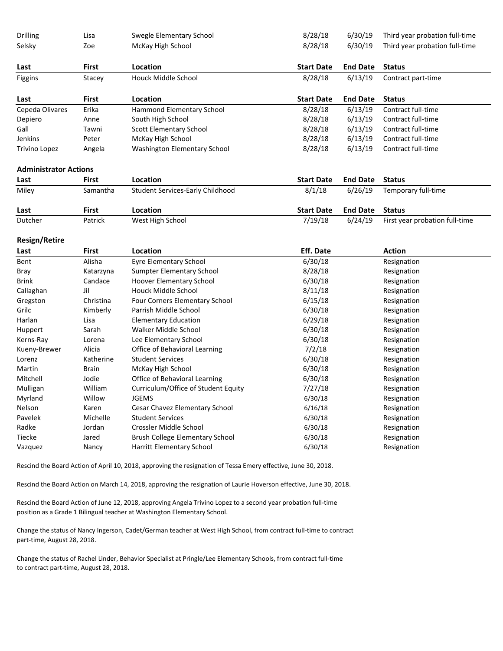| Drilling                     | Lisa         | Swegle Elementary School                | 8/28/18           | 6/30/19         | Third year probation full-time |
|------------------------------|--------------|-----------------------------------------|-------------------|-----------------|--------------------------------|
| Selsky                       | Zoe          | McKay High School                       | 8/28/18           | 6/30/19         | Third year probation full-time |
| Last                         | First        | Location                                | <b>Start Date</b> | <b>End Date</b> | <b>Status</b>                  |
| Figgins                      | Stacey       | <b>Houck Middle School</b>              | 8/28/18           | 6/13/19         | Contract part-time             |
| Last                         | First        | Location                                | <b>Start Date</b> | <b>End Date</b> | <b>Status</b>                  |
| Cepeda Olivares              | Erika        | Hammond Elementary School               | 8/28/18           | 6/13/19         | Contract full-time             |
| Depiero                      | Anne         | South High School                       | 8/28/18           | 6/13/19         | Contract full-time             |
| Gall                         | Tawni        | Scott Elementary School                 | 8/28/18           | 6/13/19         | Contract full-time             |
| Jenkins                      | Peter        | McKay High School                       | 8/28/18           | 6/13/19         | Contract full-time             |
| Trivino Lopez                | Angela       | Washington Elementary School            | 8/28/18           | 6/13/19         | Contract full-time             |
| <b>Administrator Actions</b> |              |                                         |                   |                 |                                |
| Last                         | First        | Location                                | <b>Start Date</b> | <b>End Date</b> | <b>Status</b>                  |
| Miley                        | Samantha     | <b>Student Services-Early Childhood</b> | 8/1/18            | 6/26/19         | Temporary full-time            |
| Last                         | First        | Location                                | <b>Start Date</b> | <b>End Date</b> | <b>Status</b>                  |
| Dutcher                      | Patrick      | West High School                        | 7/19/18           | 6/24/19         | First year probation full-time |
| <b>Resign/Retire</b>         |              |                                         |                   |                 |                                |
| Last                         | <b>First</b> | Location                                | <b>Eff. Date</b>  |                 | <b>Action</b>                  |
| Bent                         | Alisha       | <b>Eyre Elementary School</b>           | 6/30/18           |                 | Resignation                    |
| Bray                         | Katarzyna    | <b>Sumpter Elementary School</b>        | 8/28/18           |                 | Resignation                    |
| <b>Brink</b>                 | Candace      | Hoover Elementary School                | 6/30/18           |                 | Resignation                    |
| Callaghan                    | Jil          | Houck Middle School                     | 8/11/18           |                 | Resignation                    |
| Gregston                     | Christina    | Four Corners Elementary School          | 6/15/18           |                 | Resignation                    |
| Grilc                        | Kimberly     | Parrish Middle School                   | 6/30/18           |                 | Resignation                    |
| Harlan                       | Lisa         | <b>Elementary Education</b>             | 6/29/18           |                 | Resignation                    |
| Huppert                      | Sarah        | Walker Middle School                    | 6/30/18           |                 | Resignation                    |
| Kerns-Ray                    | Lorena       | Lee Elementary School                   | 6/30/18           |                 | Resignation                    |
| Kueny-Brewer                 | Alicia       | Office of Behavioral Learning           | 7/2/18            |                 | Resignation                    |
| Lorenz                       | Katherine    | <b>Student Services</b>                 | 6/30/18           |                 | Resignation                    |
| Martin                       | Brain        | McKay High School                       | 6/30/18           |                 | Resignation                    |
| Mitchell                     | Jodie        | Office of Behavioral Learning           | 6/30/18           |                 | Resignation                    |
| Mulligan                     | William      | Curriculum/Office of Student Equity     | 7/27/18           |                 | Resignation                    |
| Myrland                      | Willow       | <b>JGEMS</b>                            | 6/30/18           |                 | Resignation                    |
| Nelson                       | Karen        | Cesar Chavez Elementary School          | 6/16/18           |                 | Resignation                    |
| Pavelek                      | Michelle     | <b>Student Services</b>                 | 6/30/18           |                 | Resignation                    |
| Radke                        | Jordan       | Crossler Middle School                  | 6/30/18           |                 | Resignation                    |

Rescind the Board Action of April 10, 2018, approving the resignation of Tessa Emery effective, June 30, 2018.

Rescind the Board Action on March 14, 2018, approving the resignation of Laurie Hoverson effective, June 30, 2018.

Tiecke Jared Brush College Elementary School 6/30/18 Resignation Vazquez **Nancy** Harritt Elementary School **6/30/18** Resignation

Rescind the Board Action of June 12, 2018, approving Angela Trivino Lopez to a second year probation full-time position as a Grade 1 Bilingual teacher at Washington Elementary School.

Change the status of Nancy Ingerson, Cadet/German teacher at West High School, from contract full-time to contract part-time, August 28, 2018.

Change the status of Rachel Linder, Behavior Specialist at Pringle/Lee Elementary Schools, from contract full-time to contract part-time, August 28, 2018.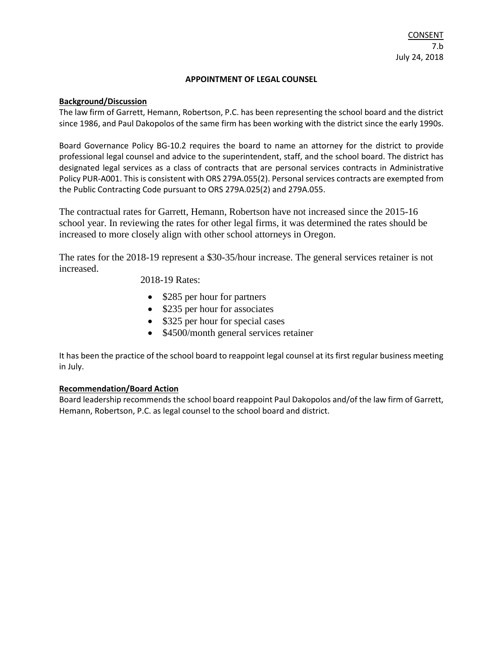#### **APPOINTMENT OF LEGAL COUNSEL**

#### **Background/Discussion**

The law firm of Garrett, Hemann, Robertson, P.C. has been representing the school board and the district since 1986, and Paul Dakopolos of the same firm has been working with the district since the early 1990s.

Board Governance Policy BG-10.2 requires the board to name an attorney for the district to provide professional legal counsel and advice to the superintendent, staff, and the school board. The district has designated legal services as a class of contracts that are personal services contracts in Administrative Policy PUR-A001. This is consistent with ORS 279A.055(2). Personal services contracts are exempted from the Public Contracting Code pursuant to ORS 279A.025(2) and 279A.055.

The contractual rates for Garrett, Hemann, Robertson have not increased since the 2015-16 school year. In reviewing the rates for other legal firms, it was determined the rates should be increased to more closely align with other school attorneys in Oregon.

The rates for the 2018-19 represent a \$30-35/hour increase. The general services retainer is not increased.

2018-19 Rates:

- \$285 per hour for partners
- \$235 per hour for associates
- \$325 per hour for special cases
- \$4500/month general services retainer

It has been the practice of the school board to reappoint legal counsel at its first regular business meeting in July.

#### **Recommendation/Board Action**

Board leadership recommends the school board reappoint Paul Dakopolos and/of the law firm of Garrett, Hemann, Robertson, P.C. as legal counsel to the school board and district.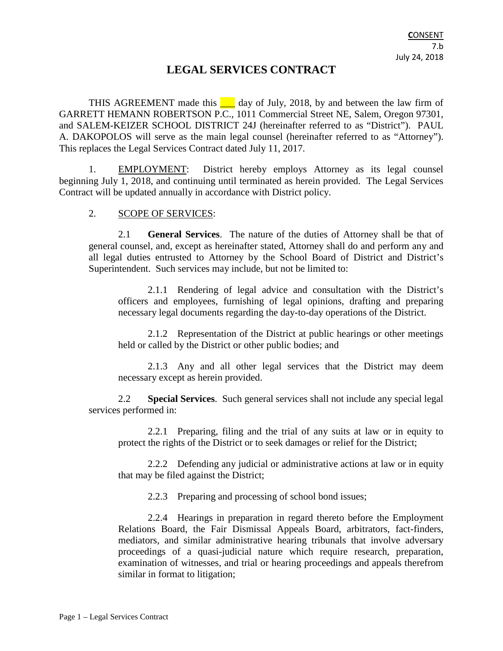# **LEGAL SERVICES CONTRACT**

THIS AGREEMENT made this  $\Box$  day of July, 2018, by and between the law firm of GARRETT HEMANN ROBERTSON P.C., 1011 Commercial Street NE, Salem, Oregon 97301, and SALEM-KEIZER SCHOOL DISTRICT 24J (hereinafter referred to as "District"). PAUL A. DAKOPOLOS will serve as the main legal counsel (hereinafter referred to as "Attorney"). This replaces the Legal Services Contract dated July 11, 2017.

1. EMPLOYMENT: District hereby employs Attorney as its legal counsel beginning July 1, 2018, and continuing until terminated as herein provided. The Legal Services Contract will be updated annually in accordance with District policy.

# 2. SCOPE OF SERVICES:

2.1 **General Services**. The nature of the duties of Attorney shall be that of general counsel, and, except as hereinafter stated, Attorney shall do and perform any and all legal duties entrusted to Attorney by the School Board of District and District's Superintendent. Such services may include, but not be limited to:

2.1.1 Rendering of legal advice and consultation with the District's officers and employees, furnishing of legal opinions, drafting and preparing necessary legal documents regarding the day-to-day operations of the District.

2.1.2 Representation of the District at public hearings or other meetings held or called by the District or other public bodies; and

2.1.3 Any and all other legal services that the District may deem necessary except as herein provided.

2.2 **Special Services**. Such general services shall not include any special legal services performed in:

2.2.1 Preparing, filing and the trial of any suits at law or in equity to protect the rights of the District or to seek damages or relief for the District;

2.2.2 Defending any judicial or administrative actions at law or in equity that may be filed against the District;

2.2.3 Preparing and processing of school bond issues;

2.2.4 Hearings in preparation in regard thereto before the Employment Relations Board, the Fair Dismissal Appeals Board, arbitrators, fact-finders, mediators, and similar administrative hearing tribunals that involve adversary proceedings of a quasi-judicial nature which require research, preparation, examination of witnesses, and trial or hearing proceedings and appeals therefrom similar in format to litigation;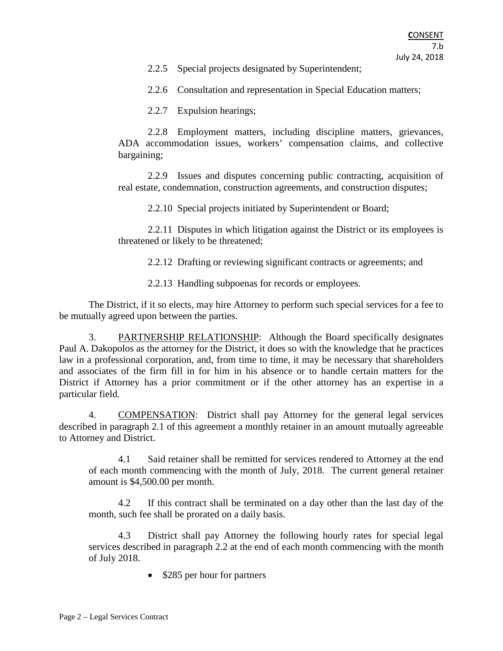2.2.5 Special projects designated by Superintendent;

2.2.6 Consultation and representation in Special Education matters;

2.2.7 Expulsion hearings;

2.2.8 Employment matters, including discipline matters, grievances, ADA accommodation issues, workers' compensation claims, and collective bargaining;

2.2.9 Issues and disputes concerning public contracting, acquisition of real estate, condemnation, construction agreements, and construction disputes;

2.2.10 Special projects initiated by Superintendent or Board;

2.2.11 Disputes in which litigation against the District or its employees is threatened or likely to be threatened;

2.2.12 Drafting or reviewing significant contracts or agreements; and

2.2.13 Handling subpoenas for records or employees.

The District, if it so elects, may hire Attorney to perform such special services for a fee to be mutually agreed upon between the parties.

3. PARTNERSHIP RELATIONSHIP: Although the Board specifically designates Paul A. Dakopolos as the attorney for the District, it does so with the knowledge that he practices law in a professional corporation, and, from time to time, it may be necessary that shareholders and associates of the firm fill in for him in his absence or to handle certain matters for the District if Attorney has a prior commitment or if the other attorney has an expertise in a particular field.

4. COMPENSATION: District shall pay Attorney for the general legal services described in paragraph 2.1 of this agreement a monthly retainer in an amount mutually agreeable to Attorney and District.

4.1 Said retainer shall be remitted for services rendered to Attorney at the end of each month commencing with the month of July, 2018. The current general retainer amount is \$4,500.00 per month.

4.2 If this contract shall be terminated on a day other than the last day of the month, such fee shall be prorated on a daily basis.

4.3 District shall pay Attorney the following hourly rates for special legal services described in paragraph 2.2 at the end of each month commencing with the month of July 2018.

• \$285 per hour for partners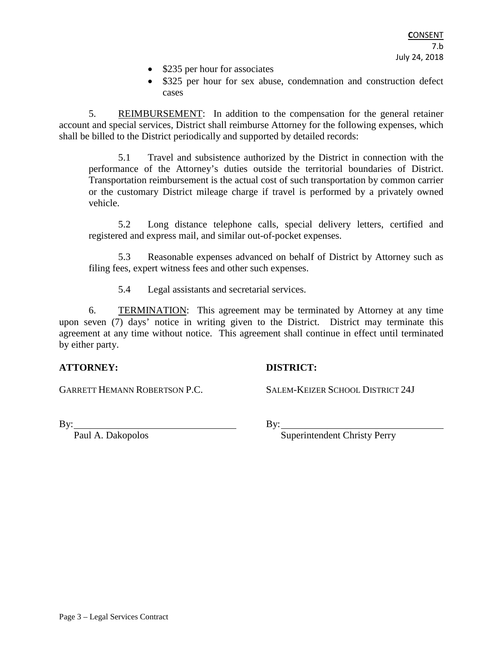- \$235 per hour for associates
- \$325 per hour for sex abuse, condemnation and construction defect cases

5. REIMBURSEMENT: In addition to the compensation for the general retainer account and special services, District shall reimburse Attorney for the following expenses, which shall be billed to the District periodically and supported by detailed records:

5.1 Travel and subsistence authorized by the District in connection with the performance of the Attorney's duties outside the territorial boundaries of District. Transportation reimbursement is the actual cost of such transportation by common carrier or the customary District mileage charge if travel is performed by a privately owned vehicle.

5.2 Long distance telephone calls, special delivery letters, certified and registered and express mail, and similar out-of-pocket expenses.

5.3 Reasonable expenses advanced on behalf of District by Attorney such as filing fees, expert witness fees and other such expenses.

5.4 Legal assistants and secretarial services.

6. TERMINATION: This agreement may be terminated by Attorney at any time upon seven (7) days' notice in writing given to the District. District may terminate this agreement at any time without notice. This agreement shall continue in effect until terminated by either party.

## **ATTORNEY: DISTRICT:**

GARRETT HEMANN ROBERTSON P.C. SALEM-KEIZER SCHOOL DISTRICT 24J

By: Paul A. Dakopolos By: Superintendent Christ Superintendent Christy Perry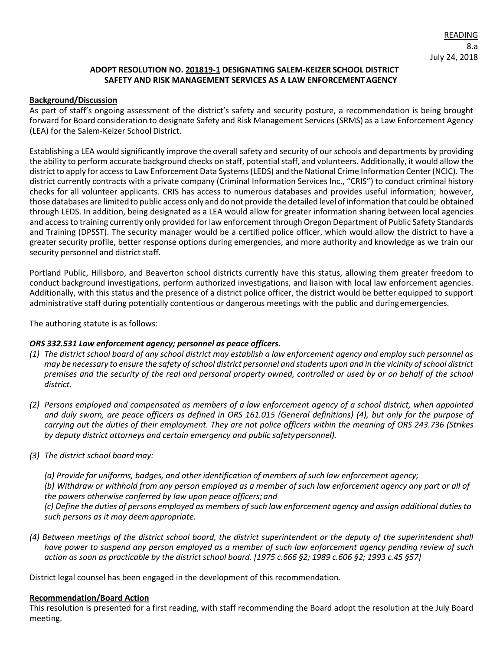#### **ADOPT RESOLUTION NO. 201819-1 DESIGNATING SALEM-KEIZER SCHOOL DISTRICT SAFETY AND RISK MANAGEMENT SERVICES AS A LAW ENFORCEMENTAGENCY**

#### **Background/Discussion**

As part of staff's ongoing assessment of the district's safety and security posture, a recommendation is being brought forward for Board consideration to designate Safety and Risk Management Services (SRMS) as a Law Enforcement Agency (LEA) for the Salem-Keizer School District.

Establishing a LEA would significantly improve the overall safety and security of our schools and departments by providing the ability to perform accurate background checks on staff, potential staff, and volunteers. Additionally, it would allow the district to apply for access to Law Enforcement Data Systems (LEDS) and the National Crime Information Center (NCIC). The district currently contracts with a private company (Criminal Information Services Inc., "CRIS") to conduct criminal history checks for all volunteer applicants. CRIS has access to numerous databases and provides useful information; however, those databases are limitedto public accessonly and do not provide the detailed level ofinformation that could be obtained through LEDS. In addition, being designated as a LEA would allow for greater information sharing between local agencies and access to training currently only provided for law enforcement through Oregon Department of Public Safety Standards and Training (DPSST). The security manager would be a certified police officer, which would allow the district to have a greater security profile, better response options during emergencies, and more authority and knowledge as we train our security personnel and district staff.

Portland Public, Hillsboro, and Beaverton school districts currently have this status, allowing them greater freedom to conduct background investigations, perform authorized investigations, and liaison with local law enforcement agencies. Additionally, with this status and the presence of a district police officer, the district would be better equipped to support administrative staff during potentially contentious or dangerous meetings with the public and duringemergencies.

The authoring statute is as follows:

#### *ORS 332.531 Law enforcement agency; personnel as peace officers.*

- (1) The district school board of any school district may establish a law enforcement agency and employ such personnel as may be necessary to ensure the safety of school district personnel and students upon and in the vicinity of school district *premises and the security of the real and personal property owned, controlled or used by or on behalf of the school district.*
- *(2) Persons employed and compensated as members of a law enforcement agency of a school district, when appointed and duly sworn, are peace officers as defined in ORS 161.015 (General definitions) (4), but only for the purpose of carrying out the duties of their employment. They are not police officers within the meaning of ORS 243.736 (Strikes by deputy district attorneys and certain emergency and public safetypersonnel).*
- *(3) The district school boardmay:*
	- *(a) Provide for uniforms, badges, and other identification of members of such law enforcement agency;*
	- *(b) Withdraw or withhold from any person employed as a member of such law enforcement agency any part or all of the powers otherwise conferred by law upon peace officers; and*
	- (c) Define the duties of persons employed as members of such law enforcement agency and assign additional duties to *such persons as it may deemappropriate.*
- *(4) Between meetings of the district school board, the district superintendent or the deputy of the superintendent shall have power to suspend any person employed as a member of such law enforcement agency pending review of such*  action as soon as practicable by the district school board. [1975 c.666 §2; 1989 c.606 §2; 1993 c.45 §57]

District legal counsel has been engaged in the development of this recommendation.

#### **Recommendation/Board Action**

This resolution is presented for a first reading, with staff recommending the Board adopt the resolution at the July Board meeting.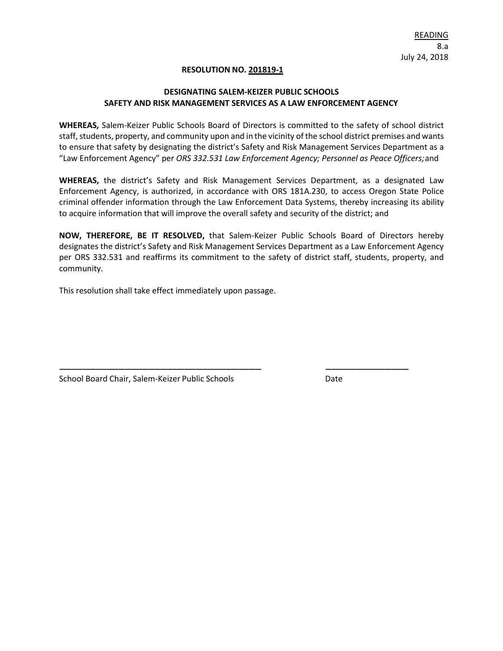#### **RESOLUTION NO. 201819-1**

#### **DESIGNATING SALEM-KEIZER PUBLIC SCHOOLS SAFETY AND RISK MANAGEMENT SERVICES AS A LAW ENFORCEMENT AGENCY**

**WHEREAS,** Salem-Keizer Public Schools Board of Directors is committed to the safety of school district staff, students, property, and community upon and in the vicinity of the school district premises and wants to ensure that safety by designating the district's Safety and Risk Management Services Department as a "Law Enforcement Agency" per *ORS 332.531 Law Enforcement Agency; Personnel as Peace Officers;*and

**WHEREAS,** the district's Safety and Risk Management Services Department, as a designated Law Enforcement Agency, is authorized, in accordance with ORS 181A.230, to access Oregon State Police criminal offender information through the Law Enforcement Data Systems, thereby increasing its ability to acquire information that will improve the overall safety and security of the district; and

**NOW, THEREFORE, BE IT RESOLVED,** that Salem-Keizer Public Schools Board of Directors hereby designates the district's Safety and Risk Management Services Department as a Law Enforcement Agency per ORS 332.531 and reaffirms its commitment to the safety of district staff, students, property, and community.

\_\_\_\_\_\_\_\_\_\_\_\_\_\_\_\_\_\_\_\_\_\_\_\_\_\_\_\_\_\_\_\_\_\_ \_\_\_\_\_\_\_\_\_\_\_\_\_\_

This resolution shall take effect immediately upon passage.

School Board Chair, Salem-Keizer Public Schools Date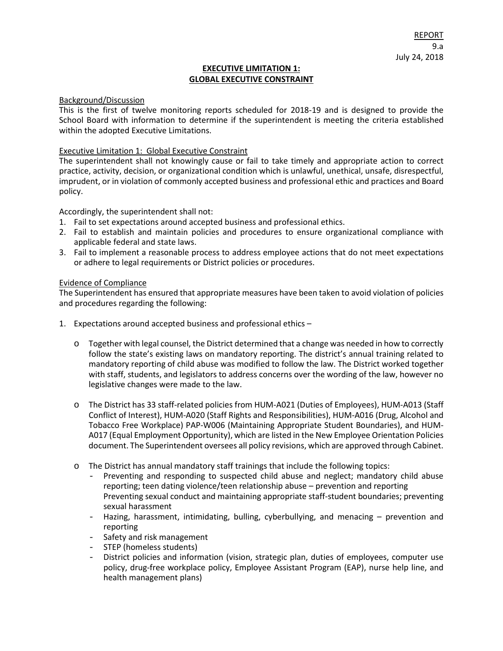#### **EXECUTIVE LIMITATION 1: GLOBAL EXECUTIVE CONSTRAINT**

#### Background/Discussion

This is the first of twelve monitoring reports scheduled for 2018-19 and is designed to provide the School Board with information to determine if the superintendent is meeting the criteria established within the adopted Executive Limitations.

#### Executive Limitation 1: Global Executive Constraint

The superintendent shall not knowingly cause or fail to take timely and appropriate action to correct practice, activity, decision, or organizational condition which is unlawful, unethical, unsafe, disrespectful, imprudent, or in violation of commonly accepted business and professional ethic and practices and Board policy.

Accordingly, the superintendent shall not:

- 1. Fail to set expectations around accepted business and professional ethics.
- 2. Fail to establish and maintain policies and procedures to ensure organizational compliance with applicable federal and state laws.
- 3. Fail to implement a reasonable process to address employee actions that do not meet expectations or adhere to legal requirements or District policies or procedures.

#### Evidence of Compliance

The Superintendent has ensured that appropriate measures have been taken to avoid violation of policies and procedures regarding the following:

- 1. Expectations around accepted business and professional ethics
	- o Together with legal counsel, the District determined that a change was needed in how to correctly follow the state's existing laws on mandatory reporting. The district's annual training related to mandatory reporting of child abuse was modified to follow the law. The District worked together with staff, students, and legislators to address concerns over the wording of the law, however no legislative changes were made to the law.
	- o The District has 33 staff-related policies from HUM-A021 (Duties of Employees), HUM-A013 (Staff Conflict of Interest), HUM-A020 (Staff Rights and Responsibilities), HUM-A016 (Drug, Alcohol and Tobacco Free Workplace) PAP-W006 (Maintaining Appropriate Student Boundaries), and HUM-A017 (Equal Employment Opportunity), which are listed in the New Employee Orientation Policies document. The Superintendent oversees all policy revisions, which are approved through Cabinet.
	- o The District has annual mandatory staff trainings that include the following topics:
		- Preventing and responding to suspected child abuse and neglect; mandatory child abuse reporting; teen dating violence/teen relationship abuse – prevention and reporting Preventing sexual conduct and maintaining appropriate staff-student boundaries; preventing sexual harassment
		- Hazing, harassment, intimidating, bulling, cyberbullying, and menacing prevention and reporting
		- Safety and risk management
		- STEP (homeless students)
		- District policies and information (vision, strategic plan, duties of employees, computer use policy, drug-free workplace policy, Employee Assistant Program (EAP), nurse help line, and health management plans)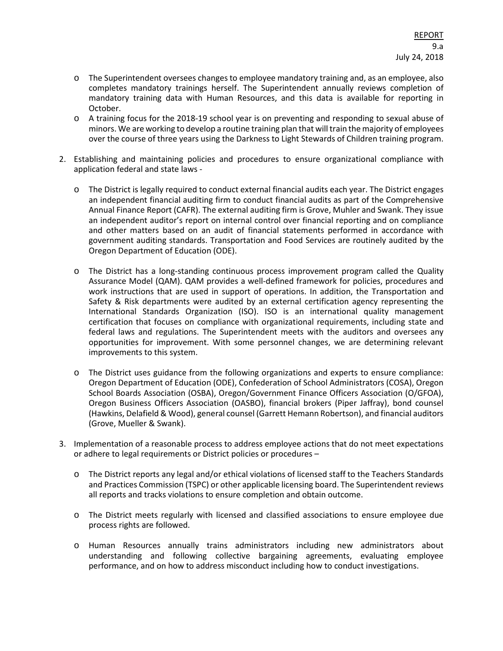- o The Superintendent oversees changes to employee mandatory training and, as an employee, also completes mandatory trainings herself. The Superintendent annually reviews completion of mandatory training data with Human Resources, and this data is available for reporting in October.
- o A training focus for the 2018-19 school year is on preventing and responding to sexual abuse of minors. We are working to develop a routine training plan that will train the majority of employees over the course of three years using the Darkness to Light Stewards of Children training program.
- 2. Establishing and maintaining policies and procedures to ensure organizational compliance with application federal and state laws
	- o The District is legally required to conduct external financial audits each year. The District engages an independent financial auditing firm to conduct financial audits as part of the Comprehensive Annual Finance Report (CAFR). The external auditing firm is Grove, Muhler and Swank. They issue an independent auditor's report on internal control over financial reporting and on compliance and other matters based on an audit of financial statements performed in accordance with government auditing standards. Transportation and Food Services are routinely audited by the Oregon Department of Education (ODE).
	- o The District has a long-standing continuous process improvement program called the Quality Assurance Model (QAM). QAM provides a well-defined framework for policies, procedures and work instructions that are used in support of operations. In addition, the Transportation and Safety & Risk departments were audited by an external certification agency representing the International Standards Organization (ISO). ISO is an international quality management certification that focuses on compliance with organizational requirements, including state and federal laws and regulations. The Superintendent meets with the auditors and oversees any opportunities for improvement. With some personnel changes, we are determining relevant improvements to this system.
	- o The District uses guidance from the following organizations and experts to ensure compliance: Oregon Department of Education (ODE), Confederation of School Administrators (COSA), Oregon School Boards Association (OSBA), Oregon/Government Finance Officers Association (O/GFOA), Oregon Business Officers Association (OASBO), financial brokers (Piper Jaffray), bond counsel (Hawkins, Delafield & Wood), general counsel (Garrett Hemann Robertson), and financial auditors (Grove, Mueller & Swank).
- 3. Implementation of a reasonable process to address employee actions that do not meet expectations or adhere to legal requirements or District policies or procedures –
	- o The District reports any legal and/or ethical violations of licensed staff to the Teachers Standards and Practices Commission (TSPC) or other applicable licensing board. The Superintendent reviews all reports and tracks violations to ensure completion and obtain outcome.
	- o The District meets regularly with licensed and classified associations to ensure employee due process rights are followed.
	- o Human Resources annually trains administrators including new administrators about understanding and following collective bargaining agreements, evaluating employee performance, and on how to address misconduct including how to conduct investigations.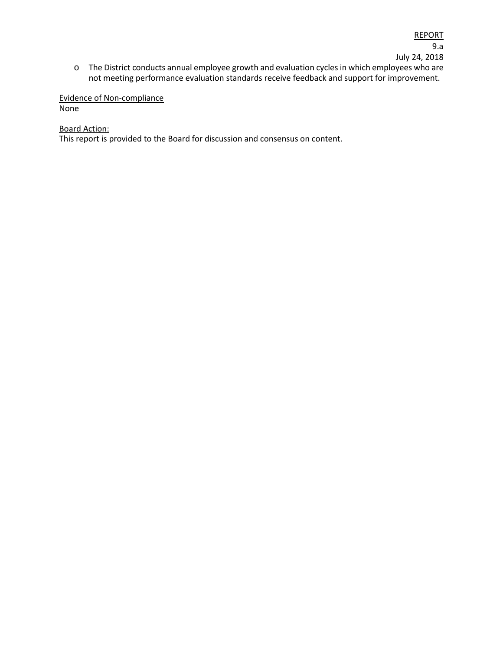#### Evidence of Non-compliance None

#### Board Action:

This report is provided to the Board for discussion and consensus on content.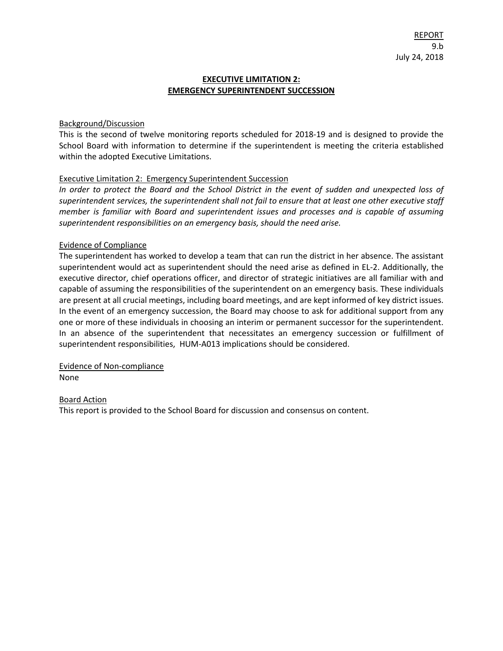#### **EXECUTIVE LIMITATION 2: EMERGENCY SUPERINTENDENT SUCCESSION**

#### Background/Discussion

This is the second of twelve monitoring reports scheduled for 2018-19 and is designed to provide the School Board with information to determine if the superintendent is meeting the criteria established within the adopted Executive Limitations.

#### Executive Limitation 2: Emergency Superintendent Succession

*In order to protect the Board and the School District in the event of sudden and unexpected loss of superintendent services, the superintendent shall not fail to ensure that at least one other executive staff member is familiar with Board and superintendent issues and processes and is capable of assuming superintendent responsibilities on an emergency basis, should the need arise.*

#### Evidence of Compliance

The superintendent has worked to develop a team that can run the district in her absence. The assistant superintendent would act as superintendent should the need arise as defined in EL-2. Additionally, the executive director, chief operations officer, and director of strategic initiatives are all familiar with and capable of assuming the responsibilities of the superintendent on an emergency basis. These individuals are present at all crucial meetings, including board meetings, and are kept informed of key district issues. In the event of an emergency succession, the Board may choose to ask for additional support from any one or more of these individuals in choosing an interim or permanent successor for the superintendent. In an absence of the superintendent that necessitates an emergency succession or fulfillment of superintendent responsibilities, HUM-A013 implications should be considered.

Evidence of Non-compliance None

#### Board Action

This report is provided to the School Board for discussion and consensus on content.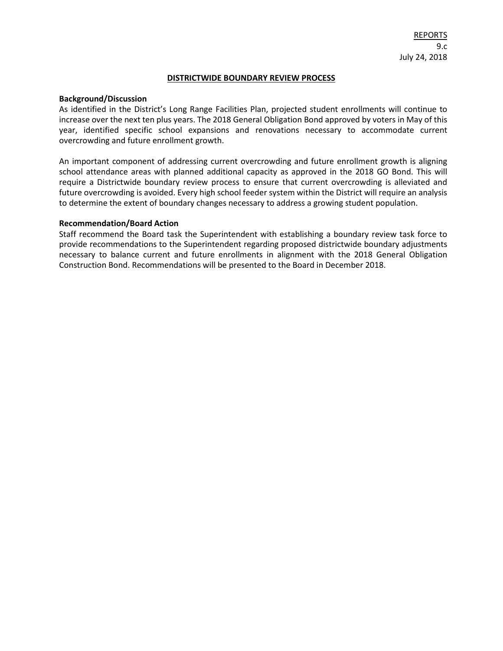#### **DISTRICTWIDE BOUNDARY REVIEW PROCESS**

#### **Background/Discussion**

As identified in the District's Long Range Facilities Plan, projected student enrollments will continue to increase over the next ten plus years. The 2018 General Obligation Bond approved by voters in May of this year, identified specific school expansions and renovations necessary to accommodate current overcrowding and future enrollment growth.

An important component of addressing current overcrowding and future enrollment growth is aligning school attendance areas with planned additional capacity as approved in the 2018 GO Bond. This will require a Districtwide boundary review process to ensure that current overcrowding is alleviated and future overcrowding is avoided. Every high school feeder system within the District will require an analysis to determine the extent of boundary changes necessary to address a growing student population.

#### **Recommendation/Board Action**

Staff recommend the Board task the Superintendent with establishing a boundary review task force to provide recommendations to the Superintendent regarding proposed districtwide boundary adjustments necessary to balance current and future enrollments in alignment with the 2018 General Obligation Construction Bond. Recommendations will be presented to the Board in December 2018.